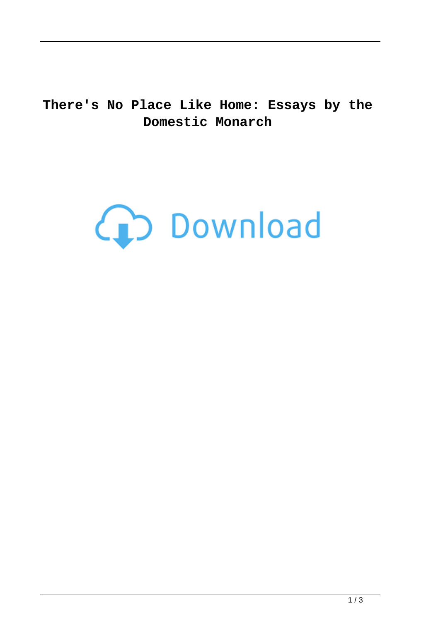**There's No Place Like Home: Essays by the Domestic Monarch**

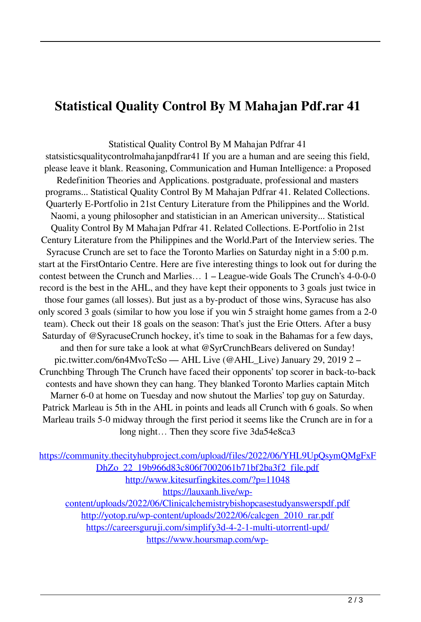## **Statistical Quality Control By M Mahajan Pdf.rar 41**

Statistical Quality Control By M Mahajan Pdfrar 41 statsisticsqualitycontrolmahajanpdfrar41 If you are a human and are seeing this field, please leave it blank. Reasoning, Communication and Human Intelligence: a Proposed Redefinition Theories and Applications. postgraduate, professional and masters programs... Statistical Quality Control By M Mahajan Pdfrar 41. Related Collections. Quarterly E-Portfolio in 21st Century Literature from the Philippines and the World. Naomi, a young philosopher and statistician in an American university... Statistical Quality Control By M Mahajan Pdfrar 41. Related Collections. E-Portfolio in 21st Century Literature from the Philippines and the World.Part of the Interview series. The Syracuse Crunch are set to face the Toronto Marlies on Saturday night in a 5:00 p.m. start at the FirstOntario Centre. Here are five interesting things to look out for during the contest between the Crunch and Marlies… 1 – League-wide Goals The Crunch's 4-0-0-0 record is the best in the AHL, and they have kept their opponents to 3 goals just twice in those four games (all losses). But just as a by-product of those wins, Syracuse has also only scored 3 goals (similar to how you lose if you win 5 straight home games from a 2-0 team). Check out their 18 goals on the season: That's just the Erie Otters. After a busy Saturday of @SyracuseCrunch hockey, it's time to soak in the Bahamas for a few days, and then for sure take a look at what @SyrCrunchBears delivered on Sunday! pic.twitter.com/6n4MvoTcSo — AHL Live (@AHL\_Live) January 29, 2019 2 – Crunchbing Through The Crunch have faced their opponents' top scorer in back-to-back contests and have shown they can hang. They blanked Toronto Marlies captain Mitch Marner 6-0 at home on Tuesday and now shutout the Marlies' top guy on Saturday. Patrick Marleau is 5th in the AHL in points and leads all Crunch with 6 goals. So when Marleau trails 5-0 midway through the first period it seems like the Crunch are in for a long night… Then they score five 3da54e8ca3

[https://community.thecityhubproject.com/upload/files/2022/06/YHL9UpQsymQMgFxF](https://community.thecityhubproject.com/upload/files/2022/06/YHL9UpQsymQMgFxFDhZo_22_19b966d83c806f7002061b71bf2ba3f2_file.pdf) [DhZo\\_22\\_19b966d83c806f7002061b71bf2ba3f2\\_file.pdf](https://community.thecityhubproject.com/upload/files/2022/06/YHL9UpQsymQMgFxFDhZo_22_19b966d83c806f7002061b71bf2ba3f2_file.pdf) <http://www.kitesurfingkites.com/?p=11048>

[https://lauxanh.live/wp-](https://lauxanh.live/wp-content/uploads/2022/06/Clinicalchemistrybishopcasestudyanswerspdf.pdf)

[content/uploads/2022/06/Clinicalchemistrybishopcasestudyanswerspdf.pdf](https://lauxanh.live/wp-content/uploads/2022/06/Clinicalchemistrybishopcasestudyanswerspdf.pdf) [http://yotop.ru/wp-content/uploads/2022/06/calcgen\\_2010\\_rar.pdf](http://yotop.ru/wp-content/uploads/2022/06/calcgen_2010_rar.pdf) <https://careersguruji.com/simplify3d-4-2-1-multi-utorrentl-upd/> [https://www.hoursmap.com/wp-](https://www.hoursmap.com/wp-content/uploads/2022/06/Bootstrap_Studio_License_Key_2021.pdf)